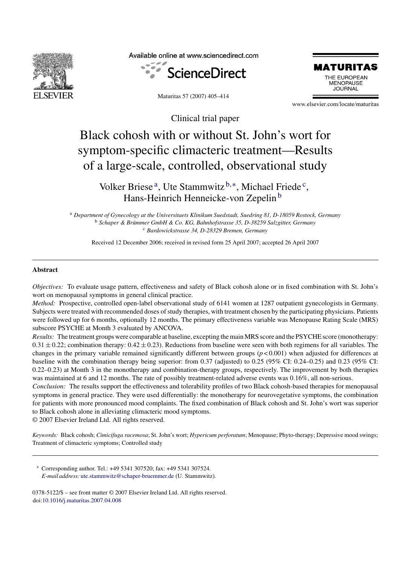

Available online at www.sciencedirect.com



Maturitas 57 (2007) 405–414



www.elsevier.com/locate/maturitas

Clinical trial paper

# Black cohosh with or without St. John's wort for symptom-specific climacteric treatment—Results of a large-scale, controlled, observational study

Volker Briese<sup>a</sup>, Ute Stammwitz<sup>b,\*</sup>, Michael Friede<sup>c</sup>, Hans-Heinrich Henneicke-von Zepelin<sup>b</sup>

<sup>a</sup> *Department of Gynecology at the Universitaets Klinikum Suedstadt, Suedring 81, D-18059 Rostock, Germany* <sup>b</sup> Schaper & Brümmer GmbH & Co. KG, Bahnhofstrasse 35, D-38259 Salzgitter, Germany <sup>c</sup> *Bardowickstrasse 34, D-28329 Bremen, Germany*

Received 12 December 2006; received in revised form 25 April 2007; accepted 26 April 2007

## **Abstract**

*Objectives:* To evaluate usage pattern, effectiveness and safety of Black cohosh alone or in fixed combination with St. John's wort on menopausal symptoms in general clinical practice.

*Method:* Prospective, controlled open-label observational study of 6141 women at 1287 outpatient gynecologists in Germany. Subjects were treated with recommended doses of study therapies, with treatment chosen by the participating physicians. Patients were followed up for 6 months, optionally 12 months. The primary effectiveness variable was Menopause Rating Scale (MRS) subscore PSYCHE at Month 3 evaluated by ANCOVA.

*Results:* The treatment groups were comparable at baseline, excepting the main MRS score and the PSYCHE score (monotherapy:  $0.31 \pm 0.22$ ; combination therapy:  $0.42 \pm 0.23$ ). Reductions from baseline were seen with both regimens for all variables. The changes in the primary variable remained significantly different between groups (*p* < 0.001) when adjusted for differences at baseline with the combination therapy being superior: from 0.37 (adjusted) to 0.25 (95% CI: 0.24–0.25) and 0.23 (95% CI: 0.22–0.23) at Month 3 in the monotherapy and combination-therapy groups, respectively. The improvement by both therapies was maintained at 6 and 12 months. The rate of possibly treatment-related adverse events was 0.16%, all non-serious.

*Conclusion:* The results support the effectiveness and tolerability profiles of two Black cohosh-based therapies for menopausal symptoms in general practice. They were used differentially: the monotherapy for neurovegetative symptoms, the combination for patients with more pronounced mood complaints. The fixed combination of Black cohosh and St. John's wort was superior to Black cohosh alone in alleviating climacteric mood symptoms.

© 2007 Elsevier Ireland Ltd. All rights reserved.

*Keywords:* Black cohosh; *Cimicifuga racemosa*; St. John's wort; *Hypericum perforatum*; Menopause; Phyto-therapy; Depressive mood swings; Treatment of climacteric symptoms; Controlled study

∗ Corresponding author. Tel.: +49 5341 307520; fax: +49 5341 307524. *E-mail address:* [ute.stammwitz@schaper-bruemmer.de](mailto:ute.stammwitz@schaper-bruemmer.de) (U. Stammwitz).

0378-5122/\$ – see front matter © 2007 Elsevier Ireland Ltd. All rights reserved. doi:[10.1016/j.maturitas.2007.04.008](dx.doi.org/10.1016/j.maturitas.2007.04.008)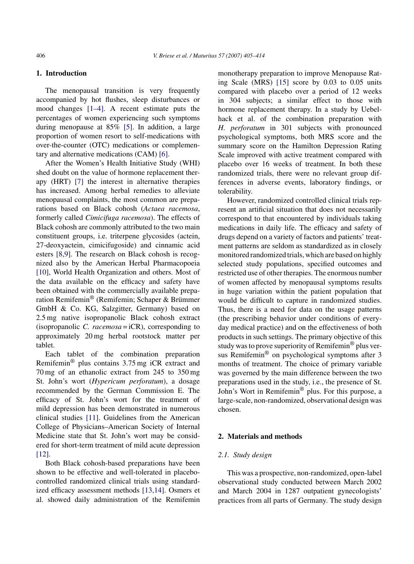# **1. Introduction**

The menopausal transition is very frequently accompanied by hot flushes, sleep disturbances or mood changes [\[1–4\].](#page-9-0) A recent estimate puts the percentages of women experiencing such symptoms during menopause at 85% [\[5\].](#page-9-0) In addition, a large proportion of women resort to self-medications with over-the-counter (OTC) medications or complementary and alternative medications (CAM) [\[6\].](#page-9-0)

After the Women's Health Initiative Study (WHI) shed doubt on the value of hormone replacement therapy (HRT) [\[7\]](#page-9-0) the interest in alternative therapies has increased. Among herbal remedies to alleviate menopausal complaints, the most common are preparations based on Black cohosh (*Actaea racemosa*, formerly called *Cimicifuga racemosa*). The effects of Black cohosh are commonly attributed to the two main constituent groups, i.e. triterpene glycosides (actein, 27-deoxyactein, cimicifugoside) and cinnamic acid esters [\[8,9\].](#page-9-0) The research on Black cohosh is recognized also by the American Herbal Pharmacopoeia [\[10\],](#page-9-0) World Health Organization and others. Most of the data available on the efficacy and safety have been obtained with the commercially available preparation Remifemin® (Remifemin; Schaper & Brümmer GmbH & Co. KG, Salzgitter, Germany) based on 2.5 mg native isopropanolic Black cohosh extract (isopropanolic *C. racemosa* = iCR), corresponding to approximately 20 mg herbal rootstock matter per tablet.

Each tablet of the combination preparation Remifemin® plus contains 3.75 mg iCR extract and 70 mg of an ethanolic extract from 245 to 350 mg St. John's wort (*Hypericum perforatum*), a dosage recommended by the German Commission E. The efficacy of St. John's wort for the treatment of mild depression has been demonstrated in numerous clinical studies [\[11\].](#page-9-0) Guidelines from the American College of Physicians–American Society of Internal Medicine state that St. John's wort may be considered for short-term treatment of mild acute depression [\[12\].](#page-9-0)

Both Black cohosh-based preparations have been shown to be effective and well-tolerated in placebocontrolled randomized clinical trials using standardized efficacy assessment methods [\[13,14\].](#page-9-0) Osmers et al. showed daily administration of the Remifemin

monotherapy preparation to improve Menopause Rating Scale (MRS) [\[15\]](#page-9-0) score by 0.03 to 0.05 units compared with placebo over a period of 12 weeks in 304 subjects; a similar effect to those with hormone replacement therapy. In a study by Uebelhack et al. of the combination preparation with *H. perforatum* in 301 subjects with pronounced psychological symptoms, both MRS score and the summary score on the Hamilton Depression Rating Scale improved with active treatment compared with placebo over 16 weeks of treatment. In both these randomized trials, there were no relevant group differences in adverse events, laboratory findings, or tolerability.

However, randomized controlled clinical trials represent an artificial situation that does not necessarily correspond to that encountered by individuals taking medications in daily life. The efficacy and safety of drugs depend on a variety of factors and patients' treatment patterns are seldom as standardized as in closely monitored randomized trials, which are based on highly selected study populations, specified outcomes and restricted use of other therapies. The enormous number of women affected by menopausal symptoms results in huge variation within the patient population that would be difficult to capture in randomized studies. Thus, there is a need for data on the usage patterns (the prescribing behavior under conditions of everyday medical practice) and on the effectiveness of both products in such settings. The primary objective of this study was to prove superiority of Remifemin® plus versus Remifemin® on psychological symptoms after 3 months of treatment. The choice of primary variable was governed by the main difference between the two preparations used in the study, i.e., the presence of St. John's Wort in Remifemin® plus. For this purpose, a large-scale, non-randomized, observational design was chosen.

## **2. Materials and methods**

# *2.1. Study design*

This was a prospective, non-randomized, open-label observational study conducted between March 2002 and March 2004 in 1287 outpatient gynecologists' practices from all parts of Germany. The study design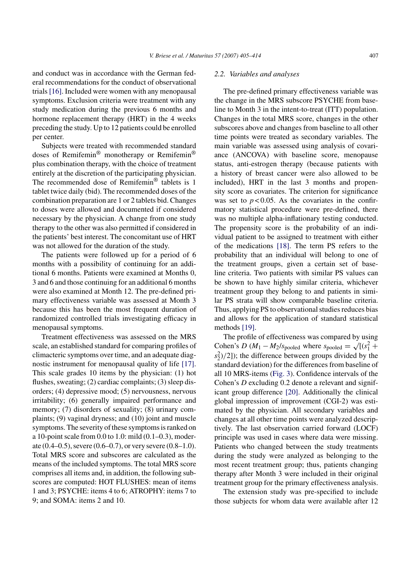and conduct was in accordance with the German federal recommendations for the conduct of observational trials[\[16\]. I](#page-9-0)ncluded were women with any menopausal symptoms. Exclusion criteria were treatment with any study medication during the previous 6 months and hormone replacement therapy (HRT) in the 4 weeks preceding the study. Up to 12 patients could be enrolled per center.

Subjects were treated with recommended standard doses of Remifemin® monotherapy or Remifemin® plus combination therapy, with the choice of treatment entirely at the discretion of the participating physician. The recommended dose of Remifemin® tablets is 1 tablet twice daily (bid). The recommended doses of the combination preparation are 1 or 2 tablets bid. Changes to doses were allowed and documented if considered necessary by the physician. A change from one study therapy to the other was also permitted if considered in the patients' best interest. The concomitant use of HRT was not allowed for the duration of the study.

The patients were followed up for a period of 6 months with a possibility of continuing for an additional 6 months. Patients were examined at Months 0, 3 and 6 and those continuing for an additional 6 months were also examined at Month 12. The pre-defined primary effectiveness variable was assessed at Month 3 because this has been the most frequent duration of randomized controlled trials investigating efficacy in menopausal symptoms.

Treatment effectiveness was assessed on the MRS scale, an established standard for comparing profiles of climacteric symptoms over time, and an adequate diagnostic instrument for menopausal quality of life [\[17\].](#page-9-0) This scale grades 10 items by the physician: (1) hot flushes, sweating; (2) cardiac complaints; (3) sleep disorders; (4) depressive mood; (5) nervousness, nervous irritability; (6) generally impaired performance and memory; (7) disorders of sexuality; (8) urinary complaints; (9) vaginal dryness; and (10) joint and muscle symptoms. The severity of these symptoms is ranked on a 10-point scale from 0.0 to 1.0: mild (0.1–0.3), moderate (0.4–0.5), severe (0.6–0.7), or very severe (0.8–1.0). Total MRS score and subscores are calculated as the means of the included symptoms. The total MRS score comprises all items and, in addition, the following subscores are computed: HOT FLUSHES: mean of items 1 and 3; PSYCHE: items 4 to 6; ATROPHY: items 7 to 9; and SOMA: items 2 and 10.

# *2.2. Variables and analyses*

The pre-defined primary effectiveness variable was the change in the MRS subscore PSYCHE from baseline to Month 3 in the intent-to-treat (ITT) population. Changes in the total MRS score, changes in the other subscores above and changes from baseline to all other time points were treated as secondary variables. The main variable was assessed using analysis of covariance (ANCOVA) with baseline score, menopause status, anti-estrogen therapy (because patients with a history of breast cancer were also allowed to be included), HRT in the last 3 months and propensity score as covariates. The criterion for significance was set to  $p < 0.05$ . As the covariates in the confirmatory statistical procedure were pre-defined, there was no multiple alpha-inflationary testing conducted. The propensity score is the probability of an individual patient to be assigned to treatment with either of the medications [\[18\].](#page-9-0) The term PS refers to the probability that an individual will belong to one of the treatment groups, given a certain set of baseline criteria. Two patients with similar PS values can be shown to have highly similar criteria, whichever treatment group they belong to and patients in similar PS strata will show comparable baseline criteria. Thus, applying PS to observational studies reduces bias and allows for the application of standard statistical methods [\[19\].](#page-9-0)

The profile of effectiveness was compared by using Cohen's *D* ( $M_1 - M_2/s$  pooled where  $s$  pooled =  $\sqrt{(s_1^2 +$  $s_2^2$  $/2$ ]); the difference between groups divided by the standard deviation) for the differences from baseline of all 10 MRS-items [\(Fig. 3\).](#page-5-0) Confidence intervals of the Cohen's *D* excluding 0.2 denote a relevant and significant group difference [\[20\].](#page-9-0) Additionally the clinical global impression of improvement (CGI-2) was estimated by the physician. All secondary variables and changes at all other time points were analyzed descriptively. The last observation carried forward (LOCF) principle was used in cases where data were missing. Patients who changed between the study treatments during the study were analyzed as belonging to the most recent treatment group; thus, patients changing therapy after Month 3 were included in their original treatment group for the primary effectiveness analysis.

The extension study was pre-specified to include those subjects for whom data were available after 12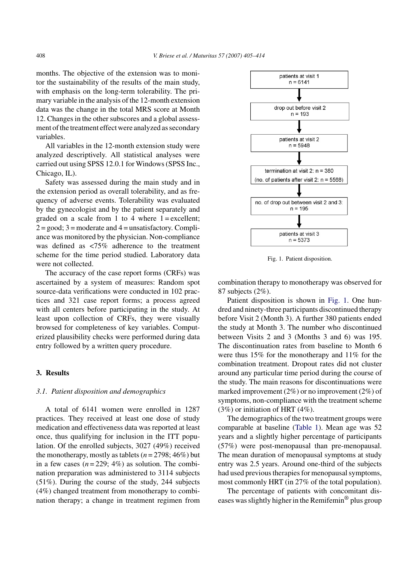months. The objective of the extension was to monitor the sustainability of the results of the main study, with emphasis on the long-term tolerability. The primary variable in the analysis of the 12-month extension data was the change in the total MRS score at Month 12. Changes in the other subscores and a global assessment of the treatment effect were analyzed as secondary variables.

All variables in the 12-month extension study were analyzed descriptively. All statistical analyses were carried out using SPSS 12.0.1 for Windows (SPSS Inc., Chicago, IL).

Safety was assessed during the main study and in the extension period as overall tolerability, and as frequency of adverse events. Tolerability was evaluated by the gynecologist and by the patient separately and graded on a scale from 1 to 4 where  $1 =$  excellent;  $2 = \text{good}$ ;  $3 = \text{moderate}$  and  $4 = \text{unsatisfactory}$ . Compliance was monitored by the physician. Non-compliance was defined as <75% adherence to the treatment scheme for the time period studied. Laboratory data were not collected.

The accuracy of the case report forms (CRFs) was ascertained by a system of measures: Random spot source-data verifications were conducted in 102 practices and 321 case report forms; a process agreed with all centers before participating in the study. At least upon collection of CRFs, they were visually browsed for completeness of key variables. Computerized plausibility checks were performed during data entry followed by a written query procedure.

#### **3. Results**

# *3.1. Patient disposition and demographics*

A total of 6141 women were enrolled in 1287 practices. They received at least one dose of study medication and effectiveness data was reported at least once, thus qualifying for inclusion in the ITT population. Of the enrolled subjects, 3027 (49%) received the monotherapy, mostly as tablets  $(n = 2798; 46\%)$  but in a few cases  $(n=229; 4\%)$  as solution. The combination preparation was administered to 3114 subjects (51%). During the course of the study, 244 subjects (4%) changed treatment from monotherapy to combination therapy; a change in treatment regimen from



Fig. 1. Patient disposition.

combination therapy to monotherapy was observed for 87 subjects (2%).

Patient disposition is shown in Fig. 1. One hundred and ninety-three participants discontinued therapy before Visit 2 (Month 3). A further 380 patients ended the study at Month 3. The number who discontinued between Visits 2 and 3 (Months 3 and 6) was 195. The discontinuation rates from baseline to Month 6 were thus 15% for the monotherapy and 11% for the combination treatment. Dropout rates did not cluster around any particular time period during the course of the study. The main reasons for discontinuations were marked improvement (2%) or no improvement (2%) of symptoms, non-compliance with the treatment scheme (3%) or initiation of HRT (4%).

The demographics of the two treatment groups were comparable at baseline ([Table 1\).](#page-4-0) Mean age was 52 years and a slightly higher percentage of participants (57%) were post-menopausal than pre-menopausal. The mean duration of menopausal symptoms at study entry was 2.5 years. Around one-third of the subjects had used previous therapies for menopausal symptoms, most commonly HRT (in 27% of the total population).

The percentage of patients with concomitant diseases was slightly higher in the Remifemin® plus group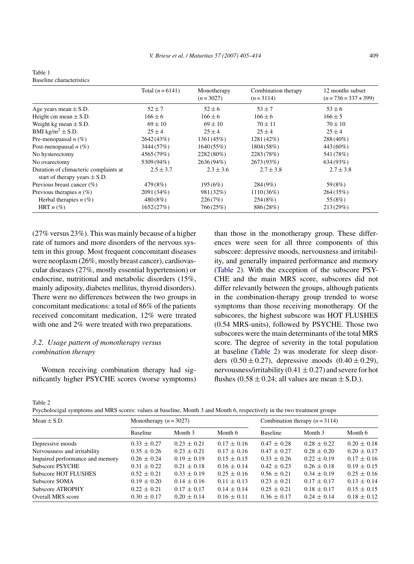|                                                                            | Total $(n = 6141)$ | Monotherapy<br>$(n=3027)$ | Combination therapy<br>$(n=3114)$ | 12 months subset<br>$(n=736=337+399)$ |  |
|----------------------------------------------------------------------------|--------------------|---------------------------|-----------------------------------|---------------------------------------|--|
| Age years mean $\pm$ S.D.                                                  | $52 + 7$           |                           | $53 + 7$                          | $53 \pm 6$                            |  |
| Height cm mean $\pm$ S.D.                                                  | $166 \pm 6$        | $166 + 6$                 | $166 + 6$                         | $166 \pm 5$                           |  |
| Weight kg mean $\pm$ S.D.                                                  | $69 \pm 10$        | $69 \pm 10$               | $70 \pm 11$                       | $70 \pm 10$                           |  |
| BMI kg/m <sup>2</sup> $\pm$ S.D.                                           | $25 \pm 4$         | $25 \pm 4$                | $25 + 4$                          | $25 \pm 4$                            |  |
| Pre-menopausal $n$ (%)                                                     | 2642 (43%)         | 1361 (45%)                | $1281(42\%)$                      | 288 (40%)                             |  |
| Post-menopausal $n$ (%)                                                    | 3444 (57%)         | 1640(55%)                 | 1804 (58%)                        | 443 (60%)                             |  |
| No hysterectomy                                                            | 4565 (79%)         | 2282(80%)                 | 2283(78%)                         | 541 (78%)                             |  |
| No ovarectomy                                                              | 5309 (94%)         | 2636(94%)                 | 2673 (93%)                        | 634 (93%)                             |  |
| Duration of climacteric complaints at<br>start of therapy years $\pm$ S.D. | $2.5 \pm 3.7$      | $2.3 \pm 3.6$             | $2.7 \pm 3.8$                     | $2.7 \pm 3.8$                         |  |
| Previous breast cancer (%)                                                 | 479(8%)            | 195(6%)                   | 284(9%)                           | 59(8%)                                |  |
| Previous therapies $n(\%)$                                                 | 2091 (34%)         | 981 (32%)                 | $1110(36\%)$                      | 264(35%)                              |  |
| Herbal therapies $n(\%)$                                                   | 480(8%)            | 226(7%)                   | 254(8%)                           | 55(8%)                                |  |
| HRT $n$ (%)                                                                | 1652(27%)          | 766 (25%)                 | 886(28%)                          | 213(29%)                              |  |

<span id="page-4-0"></span>Table 1 Baseline characteristics

(27% versus 23%). This was mainly because of a higher rate of tumors and more disorders of the nervous system in this group. Most frequent concomitant diseases were neoplasm (26%, mostly breast cancer), cardiovascular diseases (27%, mostly essential hypertension) or endocrine, nutritional and metabolic disorders (15%, mainly adiposity, diabetes mellitus, thyroid disorders). There were no differences between the two groups in concomitant medications: a total of 86% of the patients received concomitant medication, 12% were treated with one and 2% were treated with two preparations.

# *3.2. Usage pattern of monotherapy versus combination therapy*

Women receiving combination therapy had significantly higher PSYCHE scores (worse symptoms) than those in the monotherapy group. These differences were seen for all three components of this subscore: depressive moods, nervousness and irritability, and generally impaired performance and memory (Table 2). With the exception of the subscore PSY-CHE and the main MRS score, subscores did not differ relevantly between the groups, although patients in the combination-therapy group trended to worse symptoms than those receiving monotherapy. Of the subscores, the highest subscore was HOT FLUSHES (0.54 MRS-units), followed by PSYCHE. Those two subscores were the main determinants of the total MRS score. The degree of severity in the total population at baseline (Table 2) was moderate for sleep disorders  $(0.50 \pm 0.27)$ , depressive moods  $(0.40 \pm 0.29)$ , nervousness/irritability (0.41  $\pm$  0.27) and severe for hot flushes  $(0.58 \pm 0.24)$ ; all values are mean  $\pm$  S.D.).

Table 2

Psycholocigal symptoms and MRS scores: values at baseline, Month 3 and Month 6, respectively in the two treatment groups

| Mean $\pm$ S.D.                 |                 | Monotherapy $(n = 3027)$ |                 |                 | Combination therapy $(n=3114)$ |                 |  |
|---------------------------------|-----------------|--------------------------|-----------------|-----------------|--------------------------------|-----------------|--|
|                                 | Baseline        | Month 3                  | Month 6         | Baseline        | Month 3                        | Month 6         |  |
| Depressive moods                | $0.33 \pm 0.27$ | $0.23 \pm 0.21$          | $0.17 \pm 0.16$ | $0.47 \pm 0.28$ | $0.28 \pm 0.22$                | $0.20 \pm 0.18$ |  |
| Nervousness and irritability    | $0.35 \pm 0.26$ | $0.23 \pm 0.21$          | $0.17 \pm 0.16$ | $0.47 \pm 0.27$ | $0.28 \pm 0.20$                | $0.20 \pm 0.17$ |  |
| Impaired performance and memory | $0.26 \pm 0.24$ | $0.19 \pm 0.19$          | $0.15 \pm 0.15$ | $0.33 \pm 0.26$ | $0.22 \pm 0.19$                | $0.17 \pm 0.16$ |  |
| <b>Subscore PSYCHE</b>          | $0.31 \pm 0.22$ | $0.21 \pm 0.18$          | $0.16 \pm 0.14$ | $0.42 \pm 0.23$ | $0.26 \pm 0.18$                | $0.19 \pm 0.15$ |  |
| <b>Subscore HOT FLUSHES</b>     | $0.52 \pm 0.21$ | $0.33 \pm 0.19$          | $0.25 \pm 0.16$ | $0.56 \pm 0.21$ | $0.34 \pm 0.19$                | $0.25 \pm 0.16$ |  |
| Subscore SOMA                   | $0.19 \pm 0.20$ | $0.14 \pm 0.16$          | $0.11 \pm 0.13$ | $0.23 \pm 0.21$ | $0.17 \pm 0.17$                | $0.13 \pm 0.14$ |  |
| Subscore ATROPHY                | $0.22 \pm 0.21$ | $0.17 \pm 0.17$          | $0.14 \pm 0.14$ | $0.25 \pm 0.21$ | $0.18 \pm 0.17$                | $0.15 \pm 0.15$ |  |
| Overall MRS score               | $0.30 \pm 0.17$ | $0.20 \pm 0.14$          | $0.16 \pm 0.11$ | $0.36 \pm 0.17$ | $0.24 \pm 0.14$                | $0.18 \pm 0.12$ |  |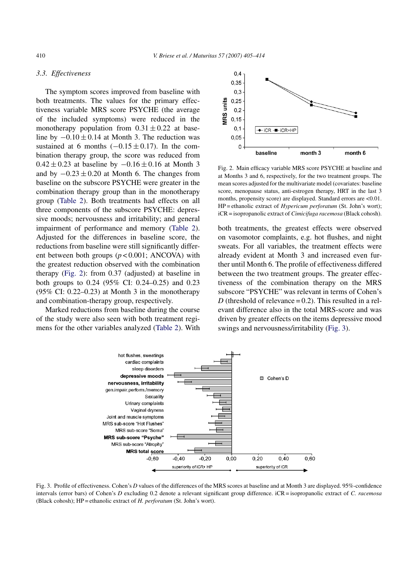# <span id="page-5-0"></span>*3.3. Effectiveness*

The symptom scores improved from baseline with both treatments. The values for the primary effectiveness variable MRS score PSYCHE (the average of the included symptoms) were reduced in the monotherapy population from  $0.31 \pm 0.22$  at baseline by  $-0.10 \pm 0.14$  at Month 3. The reduction was sustained at 6 months  $(-0.15 \pm 0.17)$ . In the combination therapy group, the score was reduced from  $0.42 \pm 0.23$  at baseline by  $-0.16 \pm 0.16$  at Month 3 and by  $-0.23 \pm 0.20$  at Month 6. The changes from baseline on the subscore PSYCHE were greater in the combination therapy group than in the monotherapy group [\(Table 2\).](#page-4-0) Both treatments had effects on all three components of the subscore PSYCHE: depressive moods; nervousness and irritability; and general impairment of performance and memory ([Table 2\)](#page-4-0). Adjusted for the differences in baseline score, the reductions from baseline were still significantly different between both groups (*p* < 0.001; ANCOVA) with the greatest reduction observed with the combination therapy (Fig. 2): from 0.37 (adjusted) at baseline in both groups to 0.24 (95% CI: 0.24–0.25) and 0.23  $(95\% \text{ CI: } 0.22 - 0.23)$  at Month 3 in the monotherapy and combination-therapy group, respectively.

Marked reductions from baseline during the course of the study were also seen with both treatment regimens for the other variables analyzed ([Table 2\).](#page-4-0) With



Fig. 2. Main efficacy variable MRS score PSYCHE at baseline and at Months 3 and 6, respectively, for the two treatment groups. The mean scores adjusted for the multivariate model (covariates: baseline score, menopause status, anti-estrogen therapy, HRT in the last 3 months, propensity score) are displayed. Standard errors are  $\leq 0.01$ . HP = ethanolic extract of *Hypericum perforatum* (St. John's wort); iCR = isopropanolic extract of *Cimicifuga racemosa* (Black cohosh).

both treatments, the greatest effects were observed on vasomotor complaints, e.g. hot flushes, and night sweats. For all variables, the treatment effects were already evident at Month 3 and increased even further until Month 6. The profile of effectiveness differed between the two treatment groups. The greater effectiveness of the combination therapy on the MRS subscore "PSYCHE" was relevant in terms of Cohen's *D* (threshold of relevance  $= 0.2$ ). This resulted in a relevant difference also in the total MRS-score and was driven by greater effects on the items depressive mood swings and nervousness/irritability (Fig. 3).



Fig. 3. Profile of effectiveness. Cohen's *D* values of the differences of the MRS scores at baseline and at Month 3 are displayed. 95%-confidence intervals (error bars) of Cohen's *D* excluding 0.2 denote a relevant significant group difference. iCR = isopropanolic extract of *C. racemosa* (Black cohosh); HP = ethanolic extract of *H. perforatum* (St. John's wort).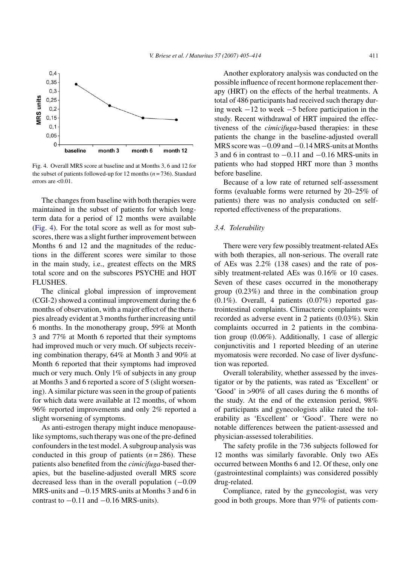

Fig. 4. Overall MRS score at baseline and at Months 3, 6 and 12 for the subset of patients followed-up for 12 months (*n* = 736). Standard errors are  $< 0.01$ .

The changes from baseline with both therapies were maintained in the subset of patients for which longterm data for a period of 12 months were available (Fig. 4). For the total score as well as for most subscores, there was a slight further improvement between Months 6 and 12 and the magnitudes of the reductions in the different scores were similar to those in the main study, i.e., greatest effects on the MRS total score and on the subscores PSYCHE and HOT FLUSHES.

The clinical global impression of improvement (CGI-2) showed a continual improvement during the 6 months of observation, with a major effect of the therapies already evident at 3 months further increasing until 6 months. In the monotherapy group, 59% at Month 3 and 77% at Month 6 reported that their symptoms had improved much or very much. Of subjects receiving combination therapy, 64% at Month 3 and 90% at Month 6 reported that their symptoms had improved much or very much. Only 1% of subjects in any group at Months 3 and 6 reported a score of 5 (slight worsening). A similar picture was seen in the group of patients for which data were available at 12 months, of whom 96% reported improvements and only 2% reported a slight worsening of symptoms.

As anti-estrogen therapy might induce menopauselike symptoms, such therapy was one of the pre-defined confounders in the test model. A subgroup analysis was conducted in this group of patients  $(n=286)$ . These patients also benefited from the *cimicifuga*-based therapies, but the baseline-adjusted overall MRS score decreased less than in the overall population (−0.09 MRS-units and −0.15 MRS-units at Months 3 and 6 in contrast to  $-0.11$  and  $-0.16$  MRS-units).

Another exploratory analysis was conducted on the possible influence of recent hormone replacement therapy (HRT) on the effects of the herbal treatments. A total of 486 participants had received such therapy during week −12 to week −5 before participation in the study. Recent withdrawal of HRT impaired the effectiveness of the *cimicifuga*-based therapies: in these patients the change in the baseline-adjusted overall MRS score was−0.09 and−0.14 MRS-units at Months 3 and 6 in contrast to −0.11 and −0.16 MRS-units in patients who had stopped HRT more than 3 months before baseline.

Because of a low rate of returned self-assessment forms (evaluable forms were returned by 20–25% of patients) there was no analysis conducted on selfreported effectiveness of the preparations.

#### *3.4. Tolerability*

There were very few possibly treatment-related AEs with both therapies, all non-serious. The overall rate of AEs was 2.2% (138 cases) and the rate of possibly treatment-related AEs was 0.16% or 10 cases. Seven of these cases occurred in the monotherapy group (0.23%) and three in the combination group  $(0.1\%)$ . Overall, 4 patients  $(0.07\%)$  reported gastrointestinal complaints. Climacteric complaints were recorded as adverse event in 2 patients (0.03%). Skin complaints occurred in 2 patients in the combination group (0.06%). Additionally, 1 case of allergic conjunctivitis and 1 reported bleeding of an uterine myomatosis were recorded. No case of liver dysfunction was reported.

Overall tolerability, whether assessed by the investigator or by the patients, was rated as 'Excellent' or 'Good' in >90% of all cases during the 6 months of the study. At the end of the extension period, 98% of participants and gynecologists alike rated the tolerability as 'Excellent' or 'Good'. There were no notable differences between the patient-assessed and physician-assessed tolerabilities.

The safety profile in the 736 subjects followed for 12 months was similarly favorable. Only two AEs occurred between Months 6 and 12. Of these, only one (gastrointestinal complaints) was considered possibly drug-related.

Compliance, rated by the gynecologist, was very good in both groups. More than 97% of patients com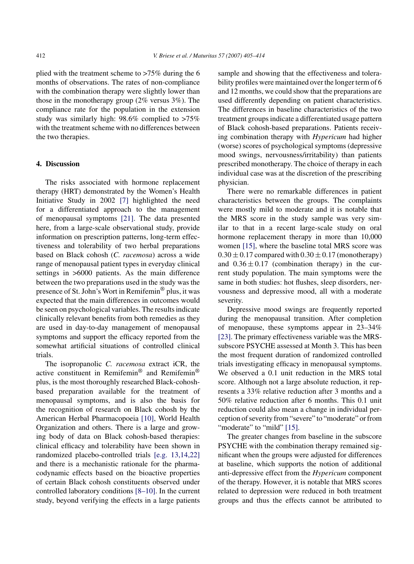plied with the treatment scheme to >75% during the 6 months of observations. The rates of non-compliance with the combination therapy were slightly lower than those in the monotherapy group (2% versus 3%). The compliance rate for the population in the extension study was similarly high: 98.6% complied to >75% with the treatment scheme with no differences between the two therapies.

# **4. Discussion**

The risks associated with hormone replacement therapy (HRT) demonstrated by the Women's Health Initiative Study in 2002 [\[7\]](#page-9-0) highlighted the need for a differentiated approach to the management of menopausal symptoms [\[21\].](#page-9-0) The data presented here, from a large-scale observational study, provide information on prescription patterns, long-term effectiveness and tolerability of two herbal preparations based on Black cohosh (*C. racemosa*) across a wide range of menopausal patient types in everyday clinical settings in >6000 patients. As the main difference between the two preparations used in the study was the presence of St. John's Wort in Remifemin® plus, it was expected that the main differences in outcomes would be seen on psychological variables. The results indicate clinically relevant benefits from both remedies as they are used in day-to-day management of menopausal symptoms and support the efficacy reported from the somewhat artificial situations of controlled clinical trials.

The isopropanolic *C. racemosa* extract iCR, the active constituent in Remifemin® and Remifemin® plus, is the most thoroughly researched Black-cohoshbased preparation available for the treatment of menopausal symptoms, and is also the basis for the recognition of research on Black cohosh by the American Herbal Pharmacopoeia [\[10\],](#page-9-0) World Health Organization and others. There is a large and growing body of data on Black cohosh-based therapies: clinical efficacy and tolerability have been shown in randomized placebo-controlled trials [\[e.g. 13,14,22\]](#page-9-0) and there is a mechanistic rationale for the pharmacodynamic effects based on the bioactive properties of certain Black cohosh constituents observed under controlled laboratory conditions [\[8–10\].](#page-9-0) In the current study, beyond verifying the effects in a large patients

sample and showing that the effectiveness and tolerability profiles were maintained over the longer term of 6 and 12 months, we could show that the preparations are used differently depending on patient characteristics. The differences in baseline characteristics of the two treatment groups indicate a differentiated usage pattern of Black cohosh-based preparations. Patients receiving combination therapy with *Hypericum* had higher (worse) scores of psychological symptoms (depressive mood swings, nervousness/irritability) than patients prescribed monotherapy. The choice of therapy in each individual case was at the discretion of the prescribing physician.

There were no remarkable differences in patient characteristics between the groups. The complaints were mostly mild to moderate and it is notable that the MRS score in the study sample was very similar to that in a recent large-scale study on oral hormone replacement therapy in more than 10,000 women [\[15\],](#page-9-0) where the baseline total MRS score was  $0.30 \pm 0.17$  compared with  $0.30 \pm 0.17$  (monotherapy) and  $0.36 \pm 0.17$  (combination therapy) in the current study population. The main symptoms were the same in both studies: hot flushes, sleep disorders, nervousness and depressive mood, all with a moderate severity.

Depressive mood swings are frequently reported during the menopausal transition. After completion of menopause, these symptoms appear in 23–34% [\[23\]. T](#page-9-0)he primary effectiveness variable was the MRSsubscore PSYCHE assessed at Month 3. This has been the most frequent duration of randomized controlled trials investigating efficacy in menopausal symptoms. We observed a 0.1 unit reduction in the MRS total score. Although not a large absolute reduction, it represents a 33% relative reduction after 3 months and a 50% relative reduction after 6 months. This 0.1 unit reduction could also mean a change in individual perception of severity from "severe" to "moderate" or from "moderate" to "mild" [\[15\].](#page-9-0)

The greater changes from baseline in the subscore PSYCHE with the combination therapy remained significant when the groups were adjusted for differences at baseline, which supports the notion of additional anti-depressive effect from the *Hypericum* component of the therapy. However, it is notable that MRS scores related to depression were reduced in both treatment groups and thus the effects cannot be attributed to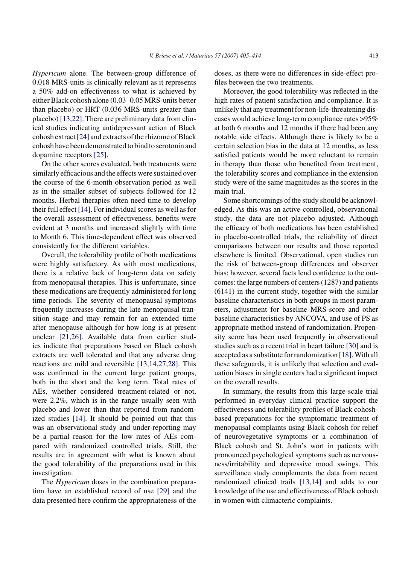*Hypericum* alone. The between-group difference of 0.018 MRS-units is clinically relevant as it represents a 50% add-on effectiveness to what is achieved by either Black cohosh alone (0.03–0.05 MRS-units better than placebo) or HRT (0.036 MRS-units greater than placebo) [\[13,22\]. T](#page-9-0)here are preliminary data from clinical studies indicating antidepressant action of Black cohosh extract[\[24\]](#page-9-0) and extracts of the rhizome of Black cohosh have been demonstrated to bind to serotonin and dopamine receptors [\[25\].](#page-9-0)

On the other scores evaluated, both treatments were similarly efficacious and the effects were sustained over the course of the 6-month observation period as well as in the smaller subset of subjects followed for 12 months. Herbal therapies often need time to develop their full effect [\[14\]. F](#page-9-0)or individual scores as well as for the overall assessment of effectiveness, benefits were evident at 3 months and increased slightly with time to Month 6. This time-dependent effect was observed consistently for the different variables.

Overall, the tolerability profile of both medications were highly satisfactory. As with most medications, there is a relative lack of long-term data on safety from menopausal therapies. This is unfortunate, since these medications are frequently administered for long time periods. The severity of menopausal symptoms frequently increases during the late menopausal transition stage and may remain for an extended time after menopause although for how long is at present unclear [\[21,26\].](#page-9-0) Available data from earlier studies indicate that preparations based on Black cohosh extracts are well tolerated and that any adverse drug reactions are mild and reversible [\[13,14,27,28\].](#page-9-0) This was confirmed in the current large patient groups, both in the short and the long term. Total rates of AEs, whether considered treatment-related or not, were 2.2%, which is in the range usually seen with placebo and lower than that reported from randomized studies [\[14\].](#page-9-0) It should be pointed out that this was an observational study and under-reporting may be a partial reason for the low rates of AEs compared with randomized controlled trials. Still, the results are in agreement with what is known about the good tolerability of the preparations used in this investigation.

The *Hypericum* doses in the combination preparation have an established record of use [\[29\]](#page-9-0) and the data presented here confirm the appropriateness of the doses, as there were no differences in side-effect profiles between the two treatments.

Moreover, the good tolerability was reflected in the high rates of patient satisfaction and compliance. It is unlikely that any treatment for non-life-threatening diseases would achieve long-term compliance rates >95% at both 6 months and 12 months if there had been any notable side effects. Although there is likely to be a certain selection bias in the data at 12 months, as less satisfied patients would be more reluctant to remain in therapy than those who benefited from treatment, the tolerability scores and compliance in the extension study were of the same magnitudes as the scores in the main trial.

Some shortcomings of the study should be acknowledged. As this was an active-controlled, observational study, the data are not placebo adjusted. Although the efficacy of both medications has been established in placebo-controlled trials, the reliability of direct comparisons between our results and those reported elsewhere is limited. Observational, open studies run the risk of between-group differences and observer bias; however, several facts lend confidence to the outcomes: the large numbers of centers (1287) and patients (6141) in the current study, together with the similar baseline characteristics in both groups in most parameters, adjustment for baseline MRS-score and other baseline characteristics by ANCOVA, and use of PS as appropriate method instead of randomization. Propensity score has been used frequently in observational studies such as a recent trial in heart failure [\[30\]](#page-9-0) and is accepted as a substitute for randomization [\[18\]. W](#page-9-0)ith all these safeguards, it is unlikely that selection and evaluation biases in single centers had a significant impact on the overall results.

In summary, the results from this large-scale trial performed in everyday clinical practice support the effectiveness and tolerability profiles of Black cohoshbased preparations for the symptomatic treatment of menopausal complaints using Black cohosh for relief of neurovegetative symptoms or a combination of Black cohosh and St. John's wort in patients with pronounced psychological symptoms such as nervousness/irritability and depressive mood swings. This surveillance study complements the data from recent randomized clinical trails [\[13,14\]](#page-9-0) and adds to our knowledge of the use and effectiveness of Black cohosh in women with climacteric complaints.